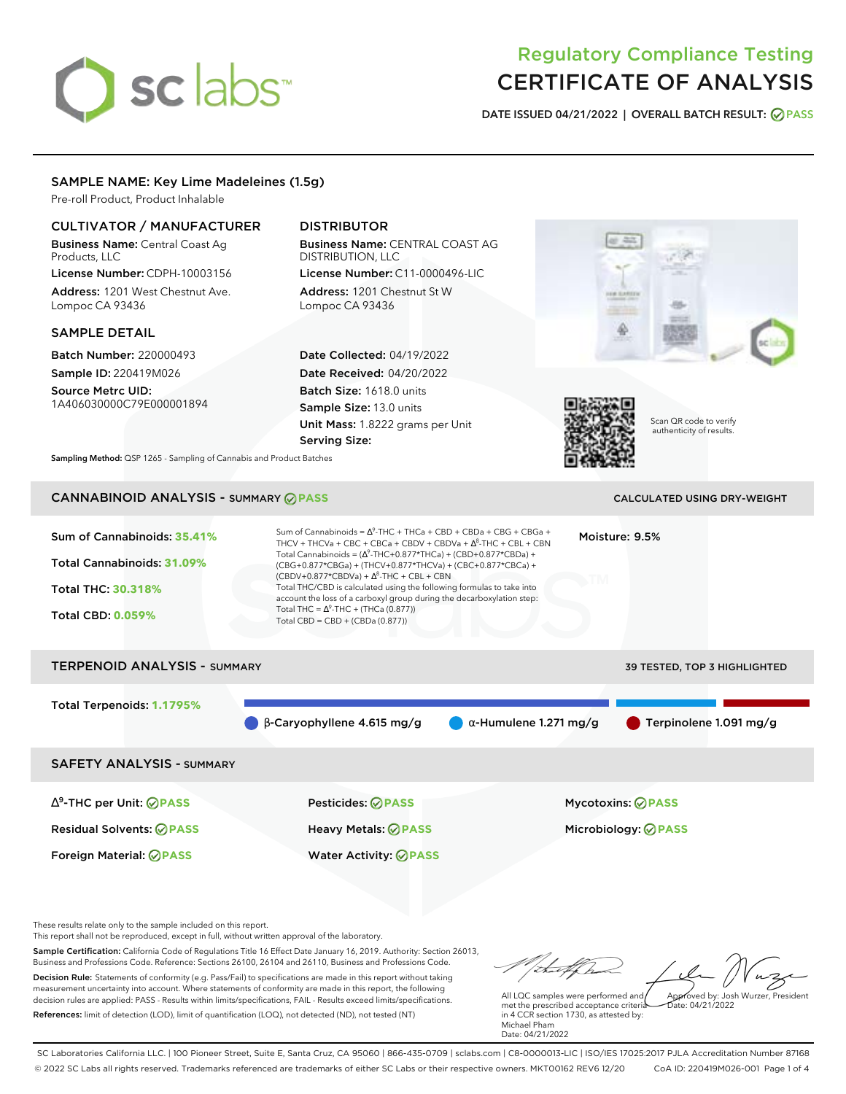# sclabs<sup>\*</sup>

## Regulatory Compliance Testing CERTIFICATE OF ANALYSIS

**DATE ISSUED 04/21/2022 | OVERALL BATCH RESULT: PASS**

## SAMPLE NAME: Key Lime Madeleines (1.5g)

Pre-roll Product, Product Inhalable

## CULTIVATOR / MANUFACTURER

Business Name: Central Coast Ag Products, LLC

License Number: CDPH-10003156 Address: 1201 West Chestnut Ave. Lompoc CA 93436

### SAMPLE DETAIL

Batch Number: 220000493 Sample ID: 220419M026

Source Metrc UID: 1A406030000C79E000001894

## DISTRIBUTOR

Business Name: CENTRAL COAST AG DISTRIBUTION, LLC License Number: C11-0000496-LIC

Address: 1201 Chestnut St W Lompoc CA 93436

Date Collected: 04/19/2022 Date Received: 04/20/2022 Batch Size: 1618.0 units Sample Size: 13.0 units Unit Mass: 1.8222 grams per Unit Serving Size:





Scan QR code to verify authenticity of results.

**Sampling Method:** QSP 1265 - Sampling of Cannabis and Product Batches

## CANNABINOID ANALYSIS - SUMMARY **PASS** CALCULATED USING DRY-WEIGHT

| Sum of Cannabinoids: 35.41%<br>Total Cannabinoids: 31.09%<br>Total THC: 30.318%<br><b>Total CBD: 0.059%</b> | Sum of Cannabinoids = $\Delta^9$ -THC + THCa + CBD + CBDa + CBG + CBGa +<br>THCV + THCVa + CBC + CBCa + CBDV + CBDVa + $\Delta^8$ -THC + CBL + CBN<br>Total Cannabinoids = $(\Delta^9$ -THC+0.877*THCa) + (CBD+0.877*CBDa) +<br>(CBG+0.877*CBGa) + (THCV+0.877*THCVa) + (CBC+0.877*CBCa) +<br>$(CBDV+0.877*CBDVa) + \Delta^8$ -THC + CBL + CBN<br>Total THC/CBD is calculated using the following formulas to take into<br>account the loss of a carboxyl group during the decarboxylation step:<br>Total THC = $\Delta^9$ -THC + (THCa (0.877))<br>Total CBD = $CBD + (CBDa (0.877))$ | NTM                           | Moisture: 9.5%                                         |
|-------------------------------------------------------------------------------------------------------------|----------------------------------------------------------------------------------------------------------------------------------------------------------------------------------------------------------------------------------------------------------------------------------------------------------------------------------------------------------------------------------------------------------------------------------------------------------------------------------------------------------------------------------------------------------------------------------------|-------------------------------|--------------------------------------------------------|
| <b>TERPENOID ANALYSIS - SUMMARY</b>                                                                         |                                                                                                                                                                                                                                                                                                                                                                                                                                                                                                                                                                                        |                               | <b>39 TESTED, TOP 3 HIGHLIGHTED</b>                    |
| Total Terpenoids: 1.1795%                                                                                   | $\beta$ -Caryophyllene 4.615 mg/g                                                                                                                                                                                                                                                                                                                                                                                                                                                                                                                                                      | $\alpha$ -Humulene 1.271 mg/g | Terpinolene 1.091 mg/g                                 |
| <b>SAFETY ANALYSIS - SUMMARY</b>                                                                            |                                                                                                                                                                                                                                                                                                                                                                                                                                                                                                                                                                                        |                               |                                                        |
| $\Delta^9$ -THC per Unit: $\oslash$ PASS<br><b>Residual Solvents: ⊘PASS</b>                                 | Pesticides: ⊘PASS<br>Heavy Metals: <b>⊘</b> PASS                                                                                                                                                                                                                                                                                                                                                                                                                                                                                                                                       |                               | <b>Mycotoxins: ⊘PASS</b><br>Microbiology: <b>⊘PASS</b> |

These results relate only to the sample included on this report.

This report shall not be reproduced, except in full, without written approval of the laboratory.

Sample Certification: California Code of Regulations Title 16 Effect Date January 16, 2019. Authority: Section 26013, Business and Professions Code. Reference: Sections 26100, 26104 and 26110, Business and Professions Code. Decision Rule: Statements of conformity (e.g. Pass/Fail) to specifications are made in this report without taking measurement uncertainty into account. Where statements of conformity are made in this report, the following decision rules are applied: PASS - Results within limits/specifications, FAIL - Results exceed limits/specifications.

Foreign Material: **PASS** Water Activity: **PASS**

References: limit of detection (LOD), limit of quantification (LOQ), not detected (ND), not tested (NT)

talk Approved by: Josh Wurzer, President

Date: 04/21/2022

All LQC samples were performed and met the prescribed acceptance criteria in 4 CCR section 1730, as attested by: Michael Pham Date: 04/21/2022

SC Laboratories California LLC. | 100 Pioneer Street, Suite E, Santa Cruz, CA 95060 | 866-435-0709 | sclabs.com | C8-0000013-LIC | ISO/IES 17025:2017 PJLA Accreditation Number 87168 © 2022 SC Labs all rights reserved. Trademarks referenced are trademarks of either SC Labs or their respective owners. MKT00162 REV6 12/20 CoA ID: 220419M026-001 Page 1 of 4